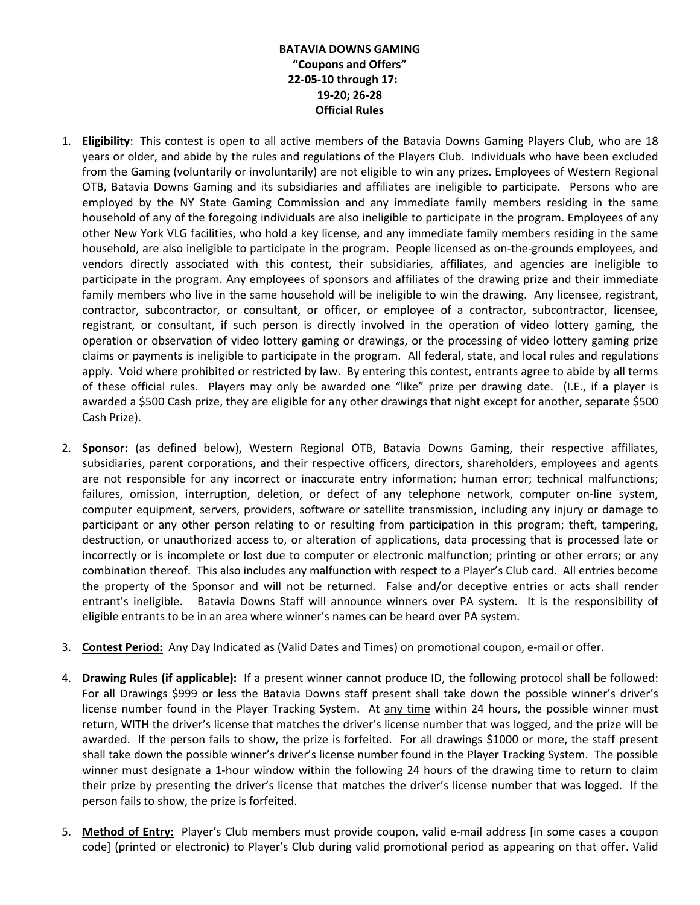## **BATAVIA DOWNS GAMING "Coupons and Offers" 22-05-10 through 17: 19-20; 26-28 Official Rules**

- 1. **Eligibility**: This contest is open to all active members of the Batavia Downs Gaming Players Club, who are 18 years or older, and abide by the rules and regulations of the Players Club. Individuals who have been excluded from the Gaming (voluntarily or involuntarily) are not eligible to win any prizes. Employees of Western Regional OTB, Batavia Downs Gaming and its subsidiaries and affiliates are ineligible to participate. Persons who are employed by the NY State Gaming Commission and any immediate family members residing in the same household of any of the foregoing individuals are also ineligible to participate in the program. Employees of any other New York VLG facilities, who hold a key license, and any immediate family members residing in the same household, are also ineligible to participate in the program. People licensed as on-the-grounds employees, and vendors directly associated with this contest, their subsidiaries, affiliates, and agencies are ineligible to participate in the program. Any employees of sponsors and affiliates of the drawing prize and their immediate family members who live in the same household will be ineligible to win the drawing. Any licensee, registrant, contractor, subcontractor, or consultant, or officer, or employee of a contractor, subcontractor, licensee, registrant, or consultant, if such person is directly involved in the operation of video lottery gaming, the operation or observation of video lottery gaming or drawings, or the processing of video lottery gaming prize claims or payments is ineligible to participate in the program. All federal, state, and local rules and regulations apply. Void where prohibited or restricted by law. By entering this contest, entrants agree to abide by all terms of these official rules. Players may only be awarded one "like" prize per drawing date. (I.E., if a player is awarded a \$500 Cash prize, they are eligible for any other drawings that night except for another, separate \$500 Cash Prize).
- 2. **Sponsor:** (as defined below), Western Regional OTB, Batavia Downs Gaming, their respective affiliates, subsidiaries, parent corporations, and their respective officers, directors, shareholders, employees and agents are not responsible for any incorrect or inaccurate entry information; human error; technical malfunctions; failures, omission, interruption, deletion, or defect of any telephone network, computer on-line system, computer equipment, servers, providers, software or satellite transmission, including any injury or damage to participant or any other person relating to or resulting from participation in this program; theft, tampering, destruction, or unauthorized access to, or alteration of applications, data processing that is processed late or incorrectly or is incomplete or lost due to computer or electronic malfunction; printing or other errors; or any combination thereof. This also includes any malfunction with respect to a Player's Club card. All entries become the property of the Sponsor and will not be returned. False and/or deceptive entries or acts shall render entrant's ineligible. Batavia Downs Staff will announce winners over PA system. It is the responsibility of eligible entrants to be in an area where winner's names can be heard over PA system.
- 3. **Contest Period:** Any Day Indicated as (Valid Dates and Times) on promotional coupon, e-mail or offer.
- 4. **Drawing Rules (if applicable):** If a present winner cannot produce ID, the following protocol shall be followed: For all Drawings \$999 or less the Batavia Downs staff present shall take down the possible winner's driver's license number found in the Player Tracking System. At any time within 24 hours, the possible winner must return, WITH the driver's license that matches the driver's license number that was logged, and the prize will be awarded. If the person fails to show, the prize is forfeited. For all drawings \$1000 or more, the staff present shall take down the possible winner's driver's license number found in the Player Tracking System. The possible winner must designate a 1-hour window within the following 24 hours of the drawing time to return to claim their prize by presenting the driver's license that matches the driver's license number that was logged. If the person fails to show, the prize is forfeited.
- 5. **Method of Entry:** Player's Club members must provide coupon, valid e-mail address [in some cases a coupon code] (printed or electronic) to Player's Club during valid promotional period as appearing on that offer. Valid